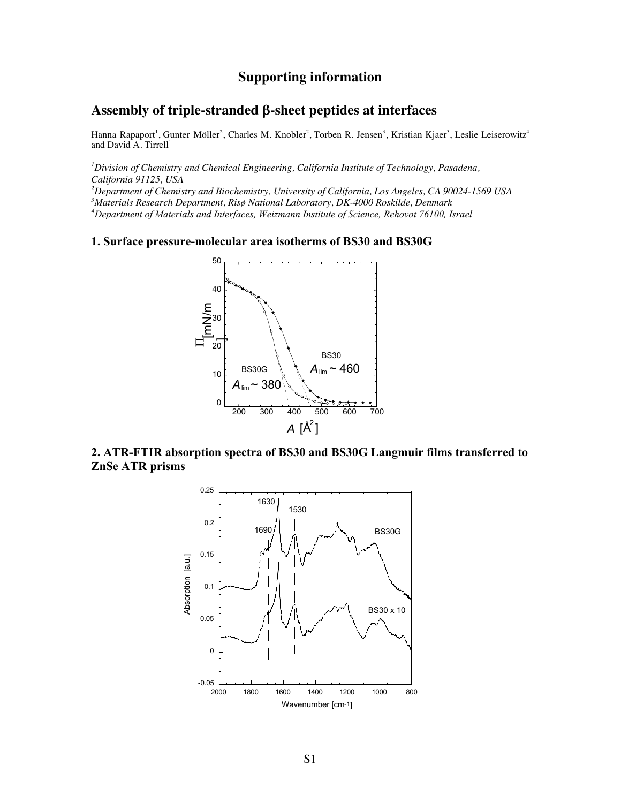# **Supporting information**

## **Assembly of triple-stranded** β**-sheet peptides at interfaces**

Hanna Rapaport<sup>1</sup>, Gunter Möller<sup>2</sup>, Charles M. Knobler<sup>2</sup>, Torben R. Jensen<sup>3</sup>, Kristian Kjaer<sup>3</sup>, Leslie Leiserowitz<sup>4</sup> and David  $A$ . Tirrell<sup>1</sup>

 *Division of Chemistry and Chemical Engineering, California Institute of Technology, Pasadena, California 91125, USA Department of Chemistry and Biochemistry, University of California, Los Angeles, CA 90024-1569 USA Materials Research Department, Risø National Laboratory, DK-4000 Roskilde, Denmark Department of Materials and Interfaces, Weizmann Institute of Science, Rehovot 76100, Israel*

**1. Surface pressure-molecular area isotherms of BS30 and BS30G**



**2. ATR-FTIR absorption spectra of BS30 and BS30G Langmuir films transferred to ZnSe ATR prisms**

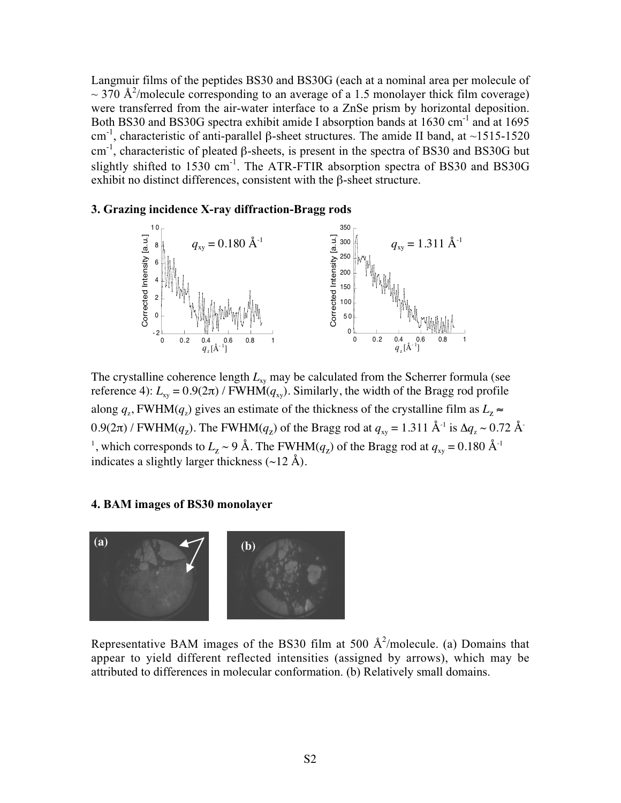Langmuir films of the peptides BS30 and BS30G (each at a nominal area per molecule of  $\sim$  370 Å<sup>2</sup>/molecule corresponding to an average of a 1.5 monolayer thick film coverage) were transferred from the air-water interface to a ZnSe prism by horizontal deposition. Both BS30 and BS30G spectra exhibit amide I absorption bands at 1630 cm<sup>-1</sup> and at 1695 cm<sup>-1</sup>, characteristic of anti-parallel β-sheet structures. The amide II band, at ~1515-1520 cm-1, characteristic of pleated β-sheets, is present in the spectra of BS30 and BS30G but slightly shifted to  $1530 \text{ cm}^{-1}$ . The ATR-FTIR absorption spectra of BS30 and BS30G exhibit no distinct differences, consistent with the β-sheet structure.

#### **3. Grazing incidence X-ray diffraction-Bragg rods**



The crystalline coherence length  $L_{xy}$  may be calculated from the Scherrer formula (see reference 4):  $L_{xy} = 0.9(2\pi)$  / FWHM( $q_{xy}$ ). Similarly, the width of the Bragg rod profile along  $q_{\tau}$ , FWHM( $q_{\tau}$ ) gives an estimate of the thickness of the crystalline film as  $L_{\tau} \approx$  $0.9(2\pi)$  / FWHM( $q_z$ ). The FWHM( $q_z$ ) of the Bragg rod at  $q_{xy} = 1.311 \text{ Å}^{-1}$  is  $\Delta q_z \sim 0.72 \text{ Å}^{-1}$ <sup>1</sup>, which corresponds to  $L_z \sim 9$  Å. The FWHM( $q_z$ ) of the Bragg rod at  $q_{xy} = 0.180$  Å<sup>-1</sup> indicates a slightly larger thickness  $(\sim 12 \text{ Å})$ .

#### **4. BAM images of BS30 monolayer**



Representative BAM images of the BS30 film at 500  $\AA^2$ /molecule. (a) Domains that appear to yield different reflected intensities (assigned by arrows), which may be attributed to differences in molecular conformation. (b) Relatively small domains.